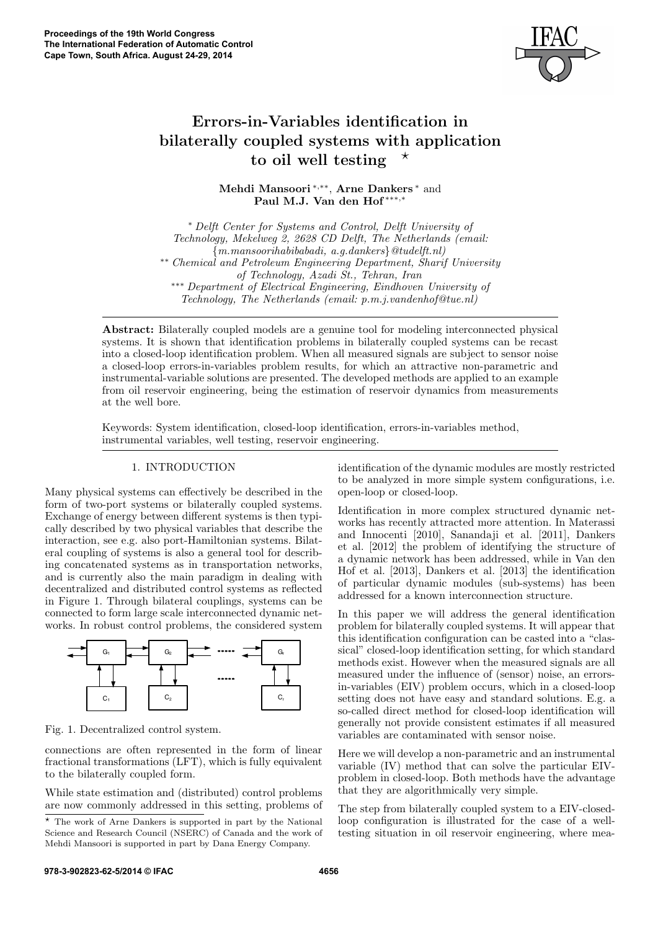

# Errors-in-Variables identification in bilaterally coupled systems with application to oil well testing  $\star$

Mehdi Mansoori<sup>\*,\*\*</sup>, Arne Dankers<sup>\*</sup> and Paul M.J. Van den Hof ∗∗∗,<sup>∗</sup>

<sup>∗</sup> Delft Center for Systems and Control, Delft University of Technology, Mekelweg 2, 2628 CD Delft, The Netherlands (email:  ${m.mansoorihabibabadi, a.q.dankers}$  $\&tudelft.nl$ ∗∗ Chemical and Petroleum Engineering Department, Sharif University of Technology, Azadi St., Tehran, Iran ∗∗∗ Department of Electrical Engineering, Eindhoven University of Technology, The Netherlands (email: p.m.j.vandenhof@tue.nl)

Abstract: Bilaterally coupled models are a genuine tool for modeling interconnected physical systems. It is shown that identification problems in bilaterally coupled systems can be recast into a closed-loop identification problem. When all measured signals are subject to sensor noise a closed-loop errors-in-variables problem results, for which an attractive non-parametric and instrumental-variable solutions are presented. The developed methods are applied to an example from oil reservoir engineering, being the estimation of reservoir dynamics from measurements at the well bore.

Keywords: System identification, closed-loop identification, errors-in-variables method, instrumental variables, well testing, reservoir engineering.

## 1. INTRODUCTION

Many physical systems can effectively be described in the form of two-port systems or bilaterally coupled systems. Exchange of energy between different systems is then typically described by two physical variables that describe the interaction, see e.g. also port-Hamiltonian systems. Bilateral coupling of systems is also a general tool for describing concatenated systems as in transportation networks, and is currently also the main paradigm in dealing with decentralized and distributed control systems as reflected in Figure 1. Through bilateral couplings, systems can be connected to form large scale interconnected dynamic networks. In robust control problems, the considered system



Fig. 1. Decentralized control system.

connections are often represented in the form of linear fractional transformations (LFT), which is fully equivalent to the bilaterally coupled form.

While state estimation and (distributed) control problems are now commonly addressed in this setting, problems of identification of the dynamic modules are mostly restricted to be analyzed in more simple system configurations, i.e. open-loop or closed-loop.

Identification in more complex structured dynamic networks has recently attracted more attention. In Materassi and Innocenti [2010], Sanandaji et al. [2011], Dankers et al. [2012] the problem of identifying the structure of a dynamic network has been addressed, while in Van den Hof et al. [2013], Dankers et al. [2013] the identification of particular dynamic modules (sub-systems) has been addressed for a known interconnection structure.

In this paper we will address the general identification problem for bilaterally coupled systems. It will appear that this identification configuration can be casted into a "classical" closed-loop identification setting, for which standard methods exist. However when the measured signals are all measured under the influence of (sensor) noise, an errorsin-variables (EIV) problem occurs, which in a closed-loop setting does not have easy and standard solutions. E.g. a so-called direct method for closed-loop identification will generally not provide consistent estimates if all measured variables are contaminated with sensor noise.

Here we will develop a non-parametric and an instrumental variable (IV) method that can solve the particular EIVproblem in closed-loop. Both methods have the advantage that they are algorithmically very simple.

The step from bilaterally coupled system to a EIV-closedloop configuration is illustrated for the case of a welltesting situation in oil reservoir engineering, where mea-

<sup>?</sup> The work of Arne Dankers is supported in part by the National Science and Research Council (NSERC) of Canada and the work of Mehdi Mansoori is supported in part by Dana Energy Company.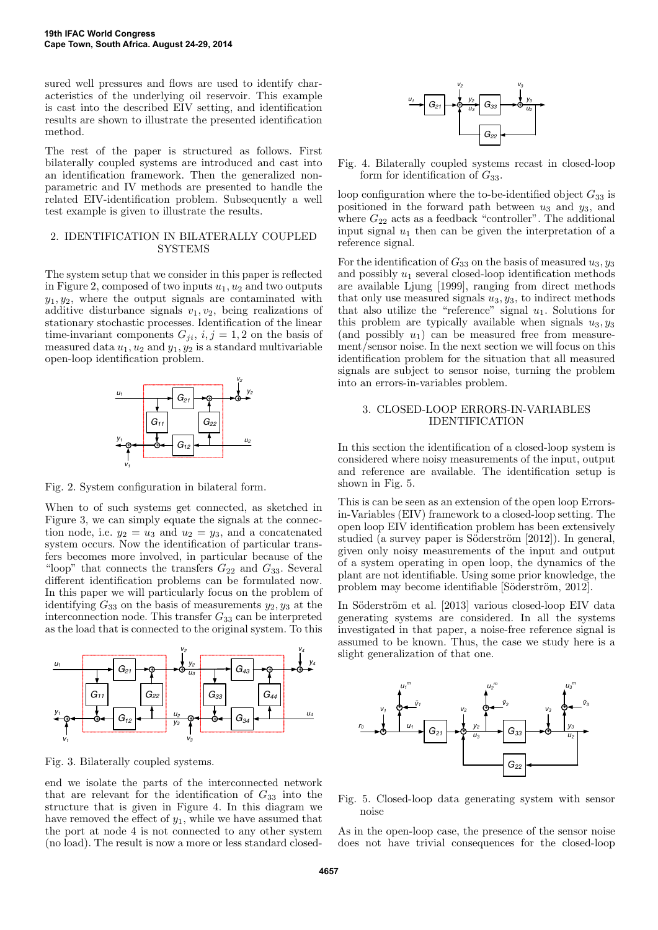sured well pressures and flows are used to identify characteristics of the underlying oil reservoir. This example is cast into the described EIV setting, and identification results are shown to illustrate the presented identification method.

The rest of the paper is structured as follows. First bilaterally coupled systems are introduced and cast into an identification framework. Then the generalized nonparametric and IV methods are presented to handle the related EIV-identification problem. Subsequently a well test example is given to illustrate the results.

## 2. IDENTIFICATION IN BILATERALLY COUPLED **SYSTEMS**

The system setup that we consider in this paper is reflected in Figure 2, composed of two inputs  $u_1, u_2$  and two outputs  $y_1, y_2$ , where the output signals are contaminated with additive disturbance signals  $v_1, v_2$ , being realizations of stationary stochastic processes. Identification of the linear time-invariant components  $G_{ji}$ ,  $i, j = 1, 2$  on the basis of measured data  $u_1, u_2$  and  $y_1, y_2$  is a standard multivariable open-loop identification problem.



Fig. 2. System configuration in bilateral form.

When to of such systems get connected, as sketched in Figure 3, we can simply equate the signals at the connection node, i.e.  $y_2 = u_3$  and  $u_2 = y_3$ , and a concatenated system occurs. Now the identification of particular transfers becomes more involved, in particular because of the "loop" that connects the transfers  $G_{22}$  and  $G_{33}$ . Several different identification problems can be formulated now. In this paper we will particularly focus on the problem of identifying  $G_{33}$  on the basis of measurements  $y_2, y_3$  at the interconnection node. This transfer  $G_{33}$  can be interpreted as the load that is connected to the original system. To this



Fig. 3. Bilaterally coupled systems.

end we isolate the parts of the interconnected network that are relevant for the identification of  $G_{33}$  into the structure that is given in Figure 4. In this diagram we have removed the effect of  $y_1$ , while we have assumed that the port at node 4 is not connected to any other system (no load). The result is now a more or less standard closed-



Fig. 4. Bilaterally coupled systems recast in closed-loop form for identification of  $G_{33}$ .

loop configuration where the to-be-identified object  $G_{33}$  is positioned in the forward path between  $u_3$  and  $y_3$ , and where  $G_{22}$  acts as a feedback "controller". The additional input signal  $u_1$  then can be given the interpretation of a reference signal.

For the identification of  $G_{33}$  on the basis of measured  $u_3, y_3$ and possibly  $u_1$  several closed-loop identification methods are available Ljung [1999], ranging from direct methods that only use measured signals  $u_3, y_3$ , to indirect methods that also utilize the "reference" signal  $u_1$ . Solutions for this problem are typically available when signals  $u_3, y_3$ (and possibly  $u_1$ ) can be measured free from measurement/sensor noise. In the next section we will focus on this identification problem for the situation that all measured signals are subject to sensor noise, turning the problem into an errors-in-variables problem.

# 3. CLOSED-LOOP ERRORS-IN-VARIABLES IDENTIFICATION

In this section the identification of a closed-loop system is considered where noisy measurements of the input, output and reference are available. The identification setup is shown in Fig. 5.

This is can be seen as an extension of the open loop Errorsin-Variables (EIV) framework to a closed-loop setting. The open loop EIV identification problem has been extensively studied (a survey paper is Söderström [2012]). In general, given only noisy measurements of the input and output of a system operating in open loop, the dynamics of the plant are not identifiable. Using some prior knowledge, the problem may become identifiable [Söderström, 2012].

In Söderström et al. [2013] various closed-loop EIV data generating systems are considered. In all the systems investigated in that paper, a noise-free reference signal is assumed to be known. Thus, the case we study here is a slight generalization of that one.



Fig. 5. Closed-loop data generating system with sensor noise

As in the open-loop case, the presence of the sensor noise does not have trivial consequences for the closed-loop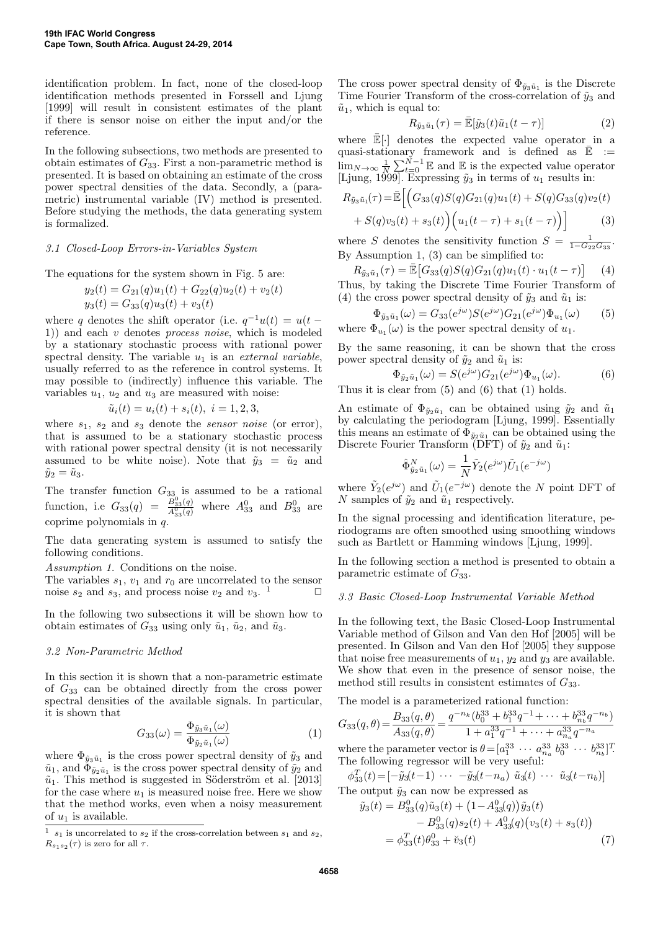identification problem. In fact, none of the closed-loop identification methods presented in Forssell and Ljung [1999] will result in consistent estimates of the plant if there is sensor noise on either the input and/or the reference.

In the following subsections, two methods are presented to obtain estimates of  $G_{33}$ . First a non-parametric method is presented. It is based on obtaining an estimate of the cross power spectral densities of the data. Secondly, a (parametric) instrumental variable (IV) method is presented. Before studying the methods, the data generating system is formalized.

## 3.1 Closed-Loop Errors-in-Variables System

The equations for the system shown in Fig. 5 are:

$$
y_2(t) = G_{21}(q)u_1(t) + G_{22}(q)u_2(t) + v_2(t)
$$
  

$$
y_3(t) = G_{33}(q)u_3(t) + v_3(t)
$$

where q denotes the shift operator (i.e.  $q^{-1}u(t) = u(t -$ 1)) and each v denotes process noise, which is modeled by a stationary stochastic process with rational power spectral density. The variable  $u_1$  is an *external variable*, usually referred to as the reference in control systems. It may possible to (indirectly) influence this variable. The variables  $u_1, u_2$  and  $u_3$  are measured with noise:

$$
\tilde{u}_i(t) = u_i(t) + s_i(t), \ i = 1, 2, 3,
$$

where  $s_1$ ,  $s_2$  and  $s_3$  denote the *sensor noise* (or error), that is assumed to be a stationary stochastic process with rational power spectral density (it is not necessarily assumed to be white noise). Note that  $\tilde{y}_3 = \tilde{u}_2$  and  $\tilde{y}_2 = \tilde{u}_3.$ 

The transfer function  $G_{33}$  is assumed to be a rational function, i.e  $G_{33}(q) = \frac{B_{33}^0(q)}{A_{33}^0(q)}$  where  $A_{33}^0$  and  $B_{33}^0$  are coprime polynomials in  $q$ .

The data generating system is assumed to satisfy the following conditions.

Assumption 1. Conditions on the noise.

The variables  $s_1$ ,  $v_1$  and  $r_0$  are uncorrelated to the sensor noise  $s_2$  and  $s_3$ , and process noise  $v_2$  and  $v_3$ .  $\Box$ 

In the following two subsections it will be shown how to obtain estimates of  $G_{33}$  using only  $\tilde{u}_1$ ,  $\tilde{u}_2$ , and  $\tilde{u}_3$ .

#### 3.2 Non-Parametric Method

In this section it is shown that a non-parametric estimate of G<sup>33</sup> can be obtained directly from the cross power spectral densities of the available signals. In particular, it is shown that

$$
G_{33}(\omega) = \frac{\Phi_{\tilde{y}_3\tilde{u}_1}(\omega)}{\Phi_{\tilde{y}_2\tilde{u}_1}(\omega)}\tag{1}
$$

where  $\Phi_{\tilde{y}_3\tilde{u}_1}$  is the cross power spectral density of  $\tilde{y}_3$  and  $\tilde{u}_1$ , and  $\Phi_{\tilde{y}_2\tilde{u}_1}$  is the cross power spectral density of  $\tilde{y}_2$  and  $\tilde{u}_1$ . This method is suggested in Söderström et al. [2013] for the case where  $u_1$  is measured noise free. Here we show that the method works, even when a noisy measurement of  $u_1$  is available.

The cross power spectral density of  $\Phi_{\tilde{y}_3\tilde{u}_1}$  is the Discrete Time Fourier Transform of the cross-correlation of  $\tilde{y}_3$  and  $\tilde{u}_1$ , which is equal to:

$$
R_{\tilde{y}_3\tilde{u}_1}(\tau) = \bar{\mathbb{E}}[\tilde{y}_3(t)\tilde{u}_1(t-\tau)] \tag{2}
$$

where  $\mathbb{E}[\cdot]$  denotes the expected value operator in a quasi-stationary framework and is defined as  $\mathbb{\bar{E}}$  :=  $\lim_{N\to\infty}\frac{1}{N}\sum_{t=0}^{N-1}\mathbb{E}$  and  $\mathbb{E}$  is the expected value operator [Ljung, 1999]. Expressing  $\tilde{y}_3$  in terms of  $u_1$  results in:

$$
R_{\tilde{y}_3\tilde{u}_1}(\tau) = \bar{\mathbb{E}} \Big[ \Big( G_{33}(q)S(q)G_{21}(q)u_1(t) + S(q)G_{33}(q)v_2(t) + S(q)v_3(t) + s_3(t) \Big) \Big( u_1(t-\tau) + s_1(t-\tau) \Big) \Big] \tag{3}
$$

where S denotes the sensitivity function  $S = \frac{1}{1-G_{22}G_{33}}$ . By Assumption 1, (3) can be simplified to:

$$
R_{\tilde{y}_3\tilde{u}_1}(\tau) = \bar{\mathbb{E}}\left[G_{33}(q)S(q)G_{21}(q)u_1(t) \cdot u_1(t-\tau)\right] \tag{4}
$$

Thus, by taking the Discrete Time Fourier Transform of (4) the cross power spectral density of  $\tilde{y}_3$  and  $\tilde{u}_1$  is:

$$
\Phi_{\tilde{y}_3\tilde{u}_1}(\omega) = G_{33}(e^{j\omega})S(e^{j\omega})G_{21}(e^{j\omega})\Phi_{u_1}(\omega) \tag{5}
$$

where  $\Phi_{u_1}(\omega)$  is the power spectral density of  $u_1$ .

By the same reasoning, it can be shown that the cross power spectral density of  $\tilde{y}_2$  and  $\tilde{u}_1$  is:

$$
\Phi_{\tilde{y}_2\tilde{u}_1}(\omega) = S(e^{j\omega})G_{21}(e^{j\omega})\Phi_{u_1}(\omega). \tag{6}
$$

Thus it is clear from (5) and (6) that (1) holds.

An estimate of  $\Phi_{\tilde{y}_2\tilde{u}_1}$  can be obtained using  $\tilde{y}_2$  and  $\tilde{u}_1$ by calculating the periodogram [Ljung, 1999]. Essentially this means an estimate of  $\Phi_{\tilde{y}_2\tilde{u}_1}$  can be obtained using the Discrete Fourier Transform (DFT) of  $\tilde{y}_2$  and  $\tilde{u}_1$ :

$$
\hat{\Phi}_{\tilde{y}_2\tilde{u}_1}^N(\omega) = \frac{1}{N} \tilde{Y}_2(e^{j\omega}) \tilde{U}_1(e^{-j\omega})
$$

where  $\tilde{Y}_2(e^{j\omega})$  and  $\tilde{U}_1(e^{-j\omega})$  denote the N point DFT of N samples of  $\tilde{y}_2$  and  $\tilde{u}_1$  respectively.

In the signal processing and identification literature, periodograms are often smoothed using smoothing windows such as Bartlett or Hamming windows [Ljung, 1999].

In the following section a method is presented to obtain a parametric estimate of  $G_{33}$ .

#### 3.3 Basic Closed-Loop Instrumental Variable Method

In the following text, the Basic Closed-Loop Instrumental Variable method of Gilson and Van den Hof [2005] will be presented. In Gilson and Van den Hof [2005] they suppose that noise free measurements of  $u_1, y_2$  and  $y_3$  are available. We show that even in the presence of sensor noise, the method still results in consistent estimates of  $G_{33}$ .

The model is a parameterized rational function:

$$
G_{33}(q, \theta) = \frac{B_{33}(q, \theta)}{A_{33}(q, \theta)} = \frac{q^{-n_k} (b_0^{33} + b_1^{33} q^{-1} + \dots + b_{n_b}^{33} q^{-n_b})}{1 + a_1^{33} q^{-1} + \dots + a_{n_a}^{33} q^{-n_a}}
$$

where the parameter vector is  $\theta = [a_1^{33} \cdots a_{n_a}^{33} \; b_0^{33} \cdots \; b_{n_b}^{33}]^T$ . The following regressor will be very useful:

 $\phi_{33}^T(t) = [-\tilde{y}_3(t-1) \cdots -\tilde{y}_3(t-n_a) \tilde{u}_3(t) \cdots \tilde{u}_3(t-n_b)]$ The output  $\tilde{y}_3$  can now be expressed as  $\tilde{y}_3(t) = B_{33}^0(q)\tilde{u}_3(t) + (1 - A_{33}^0(q))\tilde{y}_3(t)$  $-B_{33}^0(q)s_2(t)+A_{33}^0(q)(v_3(t)+s_3(t))$  $=\phi_{33}^T(t)\theta_{33}^0 + \breve{v}_3(t)$  (7)

 $^{\rm 1}$   $\,s_1$  is uncorrelated to  $s_2$  if the cross-correlation between  $s_1$  and  $s_2,$  $R_{s_1s_2}(\tau)$  is zero for all  $\tau$ .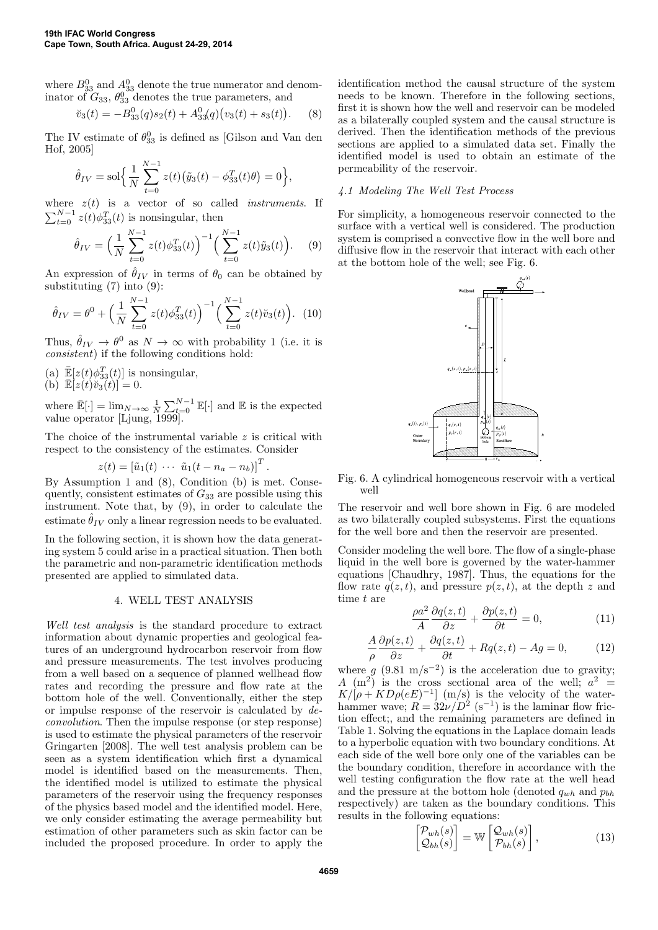where  $B_{33}^0$  and  $A_{33}^0$  denote the true numerator and denominator of  $G_{33}$ ,  $\theta_{33}^0$  denotes the true parameters, and

$$
\breve{v}_3(t) = -B_{33}^0(q)s_2(t) + A_{33}^0(q)(v_3(t) + s_3(t)). \quad (8)
$$

The IV estimate of  $\theta_{33}^0$  is defined as [Gilson and Van den Hof, 2005]

$$
\hat{\theta}_{IV} = \text{sol}\Big\{\frac{1}{N}\sum_{t=0}^{N-1} z(t) \big(\tilde{y}_3(t) - \phi_{33}^T(t)\theta\big) = 0\Big\},\
$$

where  $z(t)$  is a vector of so called *instruments*. If  $\sum_{t=0}^{N-1} z(t) \phi_{33}^T(t)$  is nonsingular, then

$$
\hat{\theta}_{IV} = \left(\frac{1}{N} \sum_{t=0}^{N-1} z(t) \phi_{33}^T(t)\right)^{-1} \left(\sum_{t=0}^{N-1} z(t) \tilde{y}_3(t)\right). \tag{9}
$$

An expression of  $\hat{\theta}_{IV}$  in terms of  $\theta_0$  can be obtained by substituting (7) into (9):

$$
\hat{\theta}_{IV} = \theta^0 + \left(\frac{1}{N} \sum_{t=0}^{N-1} z(t) \phi_{33}^T(t)\right)^{-1} \left(\sum_{t=0}^{N-1} z(t) \breve{v}_3(t)\right). \tag{10}
$$

Thus,  $\hat{\theta}_{IV} \to \theta^0$  as  $N \to \infty$  with probability 1 (i.e. it is consistent) if the following conditions hold:

(a)  $\mathbb{E}[z(t)\phi_{33}^T(t)]$  is nonsingular, (b)  $\mathbb{E}[z(t)\breve{v}_3(t)] = 0.$ 

where  $\mathbb{E}[\cdot] = \lim_{N \to \infty} \frac{1}{N} \sum_{t=0}^{N-1} \mathbb{E}[\cdot]$  and  $\mathbb{E}$  is the expected value operator [Ljung, 1999].

The choice of the instrumental variable  $z$  is critical with respect to the consistency of the estimates. Consider

$$
z(t) = \begin{bmatrix} \tilde{u}_1(t) & \cdots & \tilde{u}_1(t - n_a - n_b) \end{bmatrix}^T
$$

.

By Assumption 1 and (8), Condition (b) is met. Consequently, consistent estimates of  $G_{33}$  are possible using this instrument. Note that, by (9), in order to calculate the estimate  $\hat{\theta}_{IV}$  only a linear regression needs to be evaluated.

In the following section, it is shown how the data generating system 5 could arise in a practical situation. Then both the parametric and non-parametric identification methods presented are applied to simulated data.

## 4. WELL TEST ANALYSIS

Well test analysis is the standard procedure to extract information about dynamic properties and geological features of an underground hydrocarbon reservoir from flow and pressure measurements. The test involves producing from a well based on a sequence of planned wellhead flow rates and recording the pressure and flow rate at the bottom hole of the well. Conventionally, either the step or impulse response of the reservoir is calculated by deconvolution. Then the impulse response (or step response) is used to estimate the physical parameters of the reservoir Gringarten [2008]. The well test analysis problem can be seen as a system identification which first a dynamical model is identified based on the measurements. Then, the identified model is utilized to estimate the physical parameters of the reservoir using the frequency responses of the physics based model and the identified model. Here, we only consider estimating the average permeability but estimation of other parameters such as skin factor can be included the proposed procedure. In order to apply the identification method the causal structure of the system needs to be known. Therefore in the following sections, first it is shown how the well and reservoir can be modeled as a bilaterally coupled system and the causal structure is derived. Then the identification methods of the previous sections are applied to a simulated data set. Finally the identified model is used to obtain an estimate of the permeability of the reservoir.

### 4.1 Modeling The Well Test Process

For simplicity, a homogeneous reservoir connected to the surface with a vertical well is considered. The production system is comprised a convective flow in the well bore and diffusive flow in the reservoir that interact with each other at the bottom hole of the well; see Fig. 6.



Fig. 6. A cylindrical homogeneous reservoir with a vertical well

The reservoir and well bore shown in Fig. 6 are modeled as two bilaterally coupled subsystems. First the equations for the well bore and then the reservoir are presented.

Consider modeling the well bore. The flow of a single-phase liquid in the well bore is governed by the water-hammer equations [Chaudhry, 1987]. Thus, the equations for the flow rate  $q(z, t)$ , and pressure  $p(z, t)$ , at the depth z and time t are

$$
\frac{\rho a^2}{A} \frac{\partial q(z,t)}{\partial z} + \frac{\partial p(z,t)}{\partial t} = 0,\tag{11}
$$

$$
\frac{A}{\rho}\frac{\partial p(z,t)}{\partial z} + \frac{\partial q(z,t)}{\partial t} + Rq(z,t) - Ag = 0,\tag{12}
$$

where g  $(9.81 \text{ m/s}^{-2})$  is the acceleration due to gravity; A  $(m^2)$  is the cross sectional area of the well;  $a^2 =$  $K/(\rho + K D \rho (eE)^{-1}$  (m/s) is the velocity of the waterhammer wave;  $R = 32\nu/D^2$  (s<sup>-1</sup>) is the laminar flow friction effect;, and the remaining parameters are defined in Table 1. Solving the equations in the Laplace domain leads to a hyperbolic equation with two boundary conditions. At each side of the well bore only one of the variables can be the boundary condition, therefore in accordance with the well testing configuration the flow rate at the well head and the pressure at the bottom hole (denoted  $q_{wh}$  and  $p_{bh}$ ) respectively) are taken as the boundary conditions. This results in the following equations:

$$
\begin{bmatrix} \mathcal{P}_{wh}(s) \\ \mathcal{Q}_{bh}(s) \end{bmatrix} = \mathbb{W} \begin{bmatrix} \mathcal{Q}_{wh}(s) \\ \mathcal{P}_{bh}(s) \end{bmatrix}, \tag{13}
$$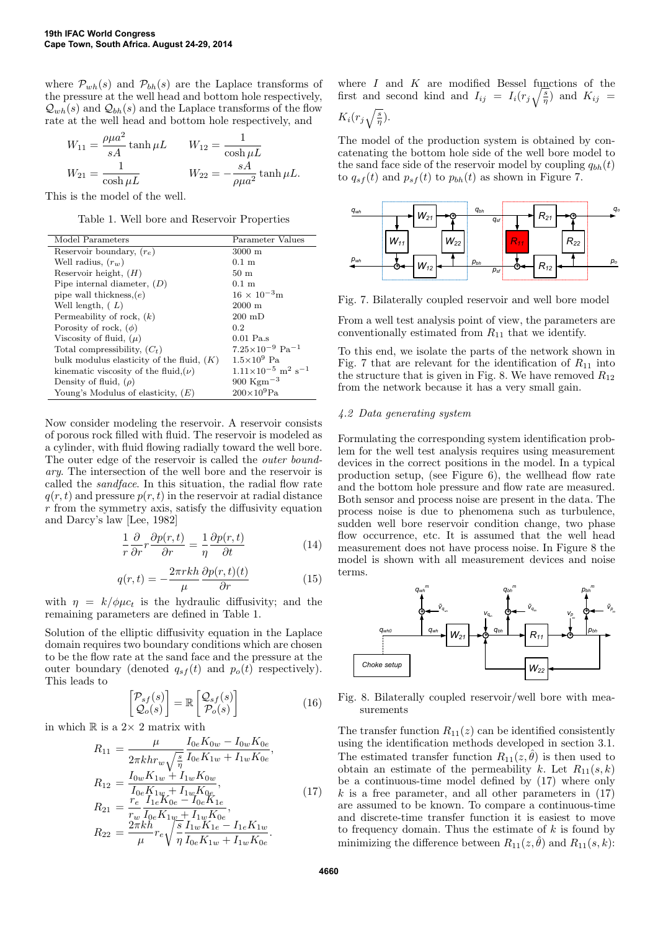where  $\mathcal{P}_{wh}(s)$  and  $\mathcal{P}_{bh}(s)$  are the Laplace transforms of the pressure at the well head and bottom hole respectively,  $\mathcal{Q}_{wh}(s)$  and  $\mathcal{Q}_{bh}(s)$  and the Laplace transforms of the flow rate at the well head and bottom hole respectively, and

$$
W_{11} = \frac{\rho \mu a^2}{sA} \tanh \mu L \qquad W_{12} = \frac{1}{\cosh \mu L}
$$
  

$$
W_{21} = \frac{1}{\cosh \mu L} \qquad W_{22} = -\frac{sA}{\rho \mu a^2} \tanh \mu L.
$$

This is the model of the well.

Table 1. Well bore and Reservoir Properties

| Model Parameters                            | Parameter Values                                   |
|---------------------------------------------|----------------------------------------------------|
| Reservoir boundary, $(r_e)$                 | $3000 \; \mathrm{m}$                               |
| Well radius, $(r_w)$                        | $0.1 \text{ m}$                                    |
| Reservoir height, $(H)$                     | $50 \text{ m}$                                     |
| Pipe internal diameter, $(D)$               | $0.1 \text{ m}$                                    |
| pipe wall thickness, $(e)$                  | $16 \times 10^{-3}$ m                              |
| Well length, $(L)$                          | $2000 \text{ m}$                                   |
| Permeability of rock, $(k)$                 | $200 \text{ }\mathrm{mD}$                          |
| Porosity of rock, $(\phi)$                  | 0.2                                                |
| Viscosity of fluid, $(\mu)$                 | $0.01$ Pa.s                                        |
| Total compressibility, $(C_t)$              | $7.25\times10^{-9}$ Pa <sup>-1</sup>               |
| bulk modulus elasticity of the fluid, $(K)$ | $1.5\times10^9$ Pa                                 |
| kinematic viscosity of the fluid, $(\nu)$   | $1.11\times10^{-5}$ m <sup>2</sup> s <sup>-1</sup> |
| Density of fluid, $(\rho)$                  | 900 Kgm <sup><math>-3</math></sup>                 |
| Young's Modulus of elasticity, $(E)$        | $200\times10^{9}$ Pa                               |

Now consider modeling the reservoir. A reservoir consists of porous rock filled with fluid. The reservoir is modeled as a cylinder, with fluid flowing radially toward the well bore. The outer edge of the reservoir is called the outer boundary. The intersection of the well bore and the reservoir is called the sandface. In this situation, the radial flow rate  $q(r, t)$  and pressure  $p(r, t)$  in the reservoir at radial distance  $r$  from the symmetry axis, satisfy the diffusivity equation and Darcy's law [Lee, 1982]

$$
\frac{1}{r}\frac{\partial}{\partial r}r\frac{\partial p(r,t)}{\partial r} = \frac{1}{\eta}\frac{\partial p(r,t)}{\partial t}
$$
\n(14)

$$
q(r,t) = -\frac{2\pi r k h}{\mu} \frac{\partial p(r,t)(t)}{\partial r}
$$
(15)

with  $\eta = k/\phi \mu c_t$  is the hydraulic diffusivity; and the remaining parameters are defined in Table 1.

Solution of the elliptic diffusivity equation in the Laplace domain requires two boundary conditions which are chosen to be the flow rate at the sand face and the pressure at the outer boundary (denoted  $q_{sf}(t)$  and  $p_o(t)$  respectively). This leads to

$$
\begin{bmatrix} \mathcal{P}_{sf}(s) \\ \mathcal{Q}_o(s) \end{bmatrix} = \mathbb{R} \begin{bmatrix} \mathcal{Q}_{sf}(s) \\ \mathcal{P}_o(s) \end{bmatrix}
$$
 (16)

in which  $\mathbb R$  is a  $2\times$  2 matrix with

$$
R_{11} = \frac{\mu}{2\pi khr_w\sqrt{\frac{s}{\eta}}}\frac{I_{0e}K_{0w} - I_{0w}K_{0e}}{I_{0e}K_{1w} + I_{1w}K_{0e}},
$$
  
\n
$$
R_{12} = \frac{I_{0w}K_{1w} + I_{1w}K_{0w}}{I_{0e}K_{1w} + I_{1w}K_{0e}},
$$
  
\n
$$
R_{21} = \frac{r_e}{r_w}\frac{I_{1e}K_{0e} - I_{0e}K_{1e}}{I_{0e}K_{1w} + I_{1w}K_{0e}},
$$
  
\n
$$
R_{22} = \frac{2\pi kh}{\mu}r_e\sqrt{\frac{s}{\eta}}\frac{I_{1w}K_{1e} - I_{1e}K_{1w}}{I_{0e}K_{1w} + I_{1w}K_{0e}}.
$$
  
\n(17)

where  $I$  and  $K$  are modified Bessel functions of the first and second kind and  $I_{ij} = I_i(r_j\sqrt{\frac{s}{\eta}})$  and  $K_{ij} =$  $K_i(r_j\sqrt{\frac{s}{\eta}}).$ 

The model of the production system is obtained by concatenating the bottom hole side of the well bore model to the sand face side of the reservoir model by coupling  $q_{bh}(t)$ to  $q_{sf}(t)$  and  $p_{sf}(t)$  to  $p_{bh}(t)$  as shown in Figure 7.



Fig. 7. Bilaterally coupled reservoir and well bore model

From a well test analysis point of view, the parameters are conventionally estimated from  $R_{11}$  that we identify.

To this end, we isolate the parts of the network shown in Fig. 7 that are relevant for the identification of  $R_{11}$  into the structure that is given in Fig. 8. We have removed  $R_{12}$ from the network because it has a very small gain.

### 4.2 Data generating system

Formulating the corresponding system identification problem for the well test analysis requires using measurement devices in the correct positions in the model. In a typical production setup, (see Figure 6), the wellhead flow rate and the bottom hole pressure and flow rate are measured. Both sensor and process noise are present in the data. The process noise is due to phenomena such as turbulence, sudden well bore reservoir condition change, two phase flow occurrence, etc. It is assumed that the well head measurement does not have process noise. In Figure 8 the model is shown with all measurement devices and noise terms.



Fig. 8. Bilaterally coupled reservoir/well bore with measurements

The transfer function  $R_{11}(z)$  can be identified consistently using the identification methods developed in section 3.1. The estimated transfer function  $R_{11}(z, \hat{\theta})$  is then used to obtain an estimate of the permeability k. Let  $R_{11}(s, k)$ be a continuous-time model defined by (17) where only k is a free parameter, and all other parameters in  $(17)$ are assumed to be known. To compare a continuous-time and discrete-time transfer function it is easiest to move to frequency domain. Thus the estimate of  $k$  is found by minimizing the difference between  $R_{11}(z, \hat{\theta})$  and  $R_{11}(s, k)$ :